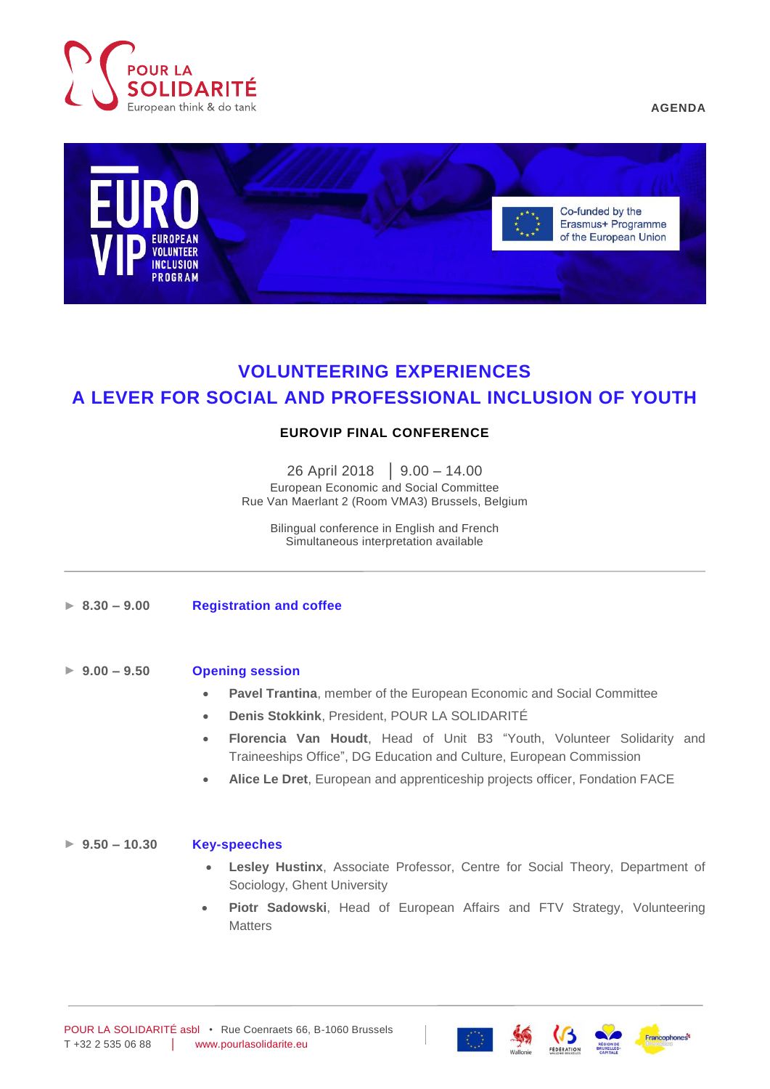

**AGENDA**



# **VOLUNTEERING EXPERIENCES A LEVER FOR SOCIAL AND PROFESSIONAL INCLUSION OF YOUTH**

# **EUROVIP FINAL CONFERENCE**

26 April 2018 │ 9.00 – 14.00 European Economic and Social Committee Rue Van Maerlant 2 (Room VMA3) Brussels, Belgium

Bilingual conference in English and French Simultaneous interpretation available

- ► **8.30 – 9.00 Registration and coffee**
- ► **9.00 – 9.50 Opening session**
	- **Pavel Trantina**, member of the European Economic and Social Committee
	- **Denis Stokkink**, President, POUR LA SOLIDARITÉ
	- **Florencia Van Houdt**, Head of Unit B3 "Youth, Volunteer Solidarity and Traineeships Office", DG Education and Culture, European Commission
	- **Alice Le Dret**, European and apprenticeship projects officer, Fondation FACE

## ► **9.50 – 10.30 Key-speeches**

- **Lesley Hustinx**, Associate Professor, Centre for Social Theory, Department of Sociology, Ghent University
- **Piotr Sadowski**, Head of European Affairs and FTV Strategy, Volunteering **Matters**





ranconhones<sup>4</sup>